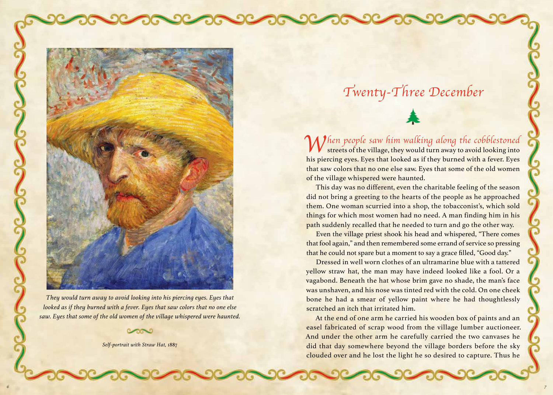

*They would turn away to avoid looking into his piercing eyes. Eyes that looked as if they burned with a fever. Eyes that saw colors that no one else saw. Eyes that some of the old women of the village whispered were haunted.*

*Self-portrait with Straw Hat,* 1887

## *Twenty-Three December*

*When people saw him walking along the cobblestoned*  streets of the village, they would turn away to avoid looking into his piercing eyes. Eyes that looked as if they burned with a fever. Eyes that saw colors that no one else saw. Eyes that some of the old women of the village whispered were haunted.

This day was no different, even the charitable feeling of the season did not bring a greeting to the hearts of the people as he approached them. One woman scurried into a shop, the tobacconist's, which sold things for which most women had no need. A man finding him in his path suddenly recalled that he needed to turn and go the other way.

Even the village priest shook his head and whispered, "There comes that fool again," and then remembered some errand of service so pressing that he could not spare but a moment to say a grace filled, "Good day."

Dressed in well worn clothes of an ultramarine blue with a tattered yellow straw hat, the man may have indeed looked like a fool. Or a vagabond. Beneath the hat whose brim gave no shade, the man's face was unshaven, and his nose was tinted red with the cold. On one cheek bone he had a smear of yellow paint where he had thoughtlessly scratched an itch that irritated him.

At the end of one arm he carried his wooden box of paints and an easel fabricated of scrap wood from the village lumber auctioneer. And under the other arm he carefully carried the two canvases he did that day somewhere beyond the village borders before the sky clouded over and he lost the light he so desired to capture. Thus he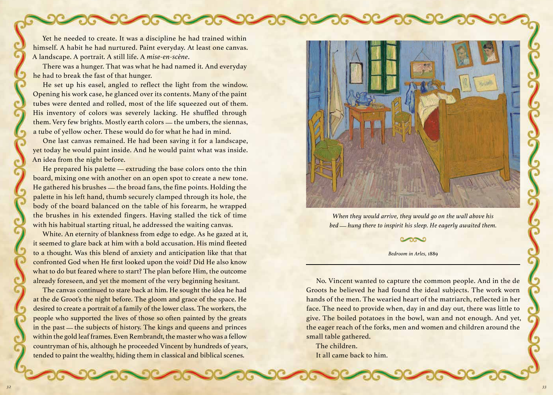Yet he needed to create. It was a discipline he had trained within himself. A habit he had nurtured. Paint everyday. At least one canvas. A landscape. A portrait. A still life. A *mise-en-scène*.

There was a hunger. That was what he had named it. And everyday he had to break the fast of that hunger.

He set up his easel, angled to reflect the light from the window. Opening his work case, he glanced over its contents. Many of the paint tubes were dented and rolled, most of the life squeezed out of them. His inventory of colors was severely lacking. He shuffled through them. Very few brights. Mostly earth colors — the umbers, the siennas, a tube of yellow ocher. These would do for what he had in mind.

One last canvas remained. He had been saving it for a landscape, yet today he would paint inside. And he would paint what was inside. An idea from the night before.

He prepared his palette — extruding the base colors onto the thin board, mixing one with another on an open spot to create a new tone. He gathered his brushes — the broad fans, the fine points. Holding the palette in his left hand, thumb securely clamped through its hole, the body of the board balanced on the table of his forearm, he wrapped the brushes in his extended fingers. Having stalled the tick of time with his habitual starting ritual, he addressed the waiting canvas.

White. An eternity of blankness from edge to edge. As he gazed at it, it seemed to glare back at him with a bold accusation. His mind fleeted to a thought. Was this blend of anxiety and anticipation like that that confronted God when He first looked upon the void? Did He also know what to do but feared where to start? The plan before Him, the outcome already foreseen, and yet the moment of the very beginning hesitant.

The canvas continued to stare back at him. He sought the idea he had at the de Groot's the night before. The gloom and grace of the space. He desired to create a portrait of a family of the lower class. The workers, the people who supported the lives of those so often painted by the greats in the past — the subjects of history. The kings and queens and princes within the gold leaf frames. Even Rembrandt, the master who was a fellow countryman of his, although he proceeded Vincent by hundreds of years, tended to paint the wealthy, hiding them in classical and biblical scenes.



*When they would arrive, they would go on the wall above his bed — hung there to inspirit his sleep. He eagerly awaited them.*

## *Bedroom in Arles,* 1889

No. Vincent wanted to capture the common people. And in the de Groots he believed he had found the ideal subjects. The work worn hands of the men. The wearied heart of the matriarch, reflected in her face. The need to provide when, day in and day out, there was little to give. The boiled potatoes in the bowl, wan and not enough. And yet, the eager reach of the forks, men and women and children around the small table gathered.

The children. It all came back to him.